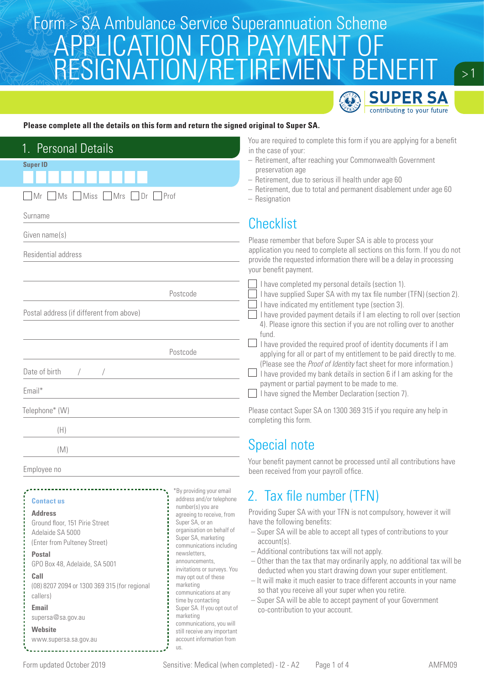## Form > SA Ambulance Service Superannuation Scheme<br>A DDI IO ATIONI EOD DAVN JENIT OE APPLICATION FOR PAYMENT OF RESIGNATION/RETIREMENT BENEFIT



 $> 1$ 

### **Please complete all the details on this form and return the signed original to Super SA.**

| 1. Personal Details<br><b>Super ID</b>                                                                                                                                                                                                                                                                                                                                                                                                                                                                                                                                                                                                                                                                                                                                                                                               | You are required to complete this form if you are applying for a benefit<br>in the case of your:<br>- Retirement, after reaching your Commonwealth Government<br>preservation age<br>- Retirement, due to serious ill health under age 60<br>- Retirement, due to total and permanent disablement under age 60<br>$-$ Resignation                                                                                                                                                                                                                                                                                                                             |  |
|--------------------------------------------------------------------------------------------------------------------------------------------------------------------------------------------------------------------------------------------------------------------------------------------------------------------------------------------------------------------------------------------------------------------------------------------------------------------------------------------------------------------------------------------------------------------------------------------------------------------------------------------------------------------------------------------------------------------------------------------------------------------------------------------------------------------------------------|---------------------------------------------------------------------------------------------------------------------------------------------------------------------------------------------------------------------------------------------------------------------------------------------------------------------------------------------------------------------------------------------------------------------------------------------------------------------------------------------------------------------------------------------------------------------------------------------------------------------------------------------------------------|--|
| Miss   Mrs<br>MS<br>Dr<br>Prof<br>l Mr                                                                                                                                                                                                                                                                                                                                                                                                                                                                                                                                                                                                                                                                                                                                                                                               |                                                                                                                                                                                                                                                                                                                                                                                                                                                                                                                                                                                                                                                               |  |
| Surname                                                                                                                                                                                                                                                                                                                                                                                                                                                                                                                                                                                                                                                                                                                                                                                                                              |                                                                                                                                                                                                                                                                                                                                                                                                                                                                                                                                                                                                                                                               |  |
| Given name(s)                                                                                                                                                                                                                                                                                                                                                                                                                                                                                                                                                                                                                                                                                                                                                                                                                        | <b>Checklist</b><br>Please remember that before Super SA is able to process your                                                                                                                                                                                                                                                                                                                                                                                                                                                                                                                                                                              |  |
| Residential address                                                                                                                                                                                                                                                                                                                                                                                                                                                                                                                                                                                                                                                                                                                                                                                                                  | application you need to complete all sections on this form. If you do not<br>provide the requested information there will be a delay in processing<br>your benefit payment.                                                                                                                                                                                                                                                                                                                                                                                                                                                                                   |  |
| Postcode<br>Postal address (if different from above)                                                                                                                                                                                                                                                                                                                                                                                                                                                                                                                                                                                                                                                                                                                                                                                 | I have completed my personal details (section 1).<br>I have supplied Super SA with my tax file number (TFN) (section 2).<br>I have indicated my entitlement type (section 3).<br>I have provided payment details if I am electing to roll over (section<br>4). Please ignore this section if you are not rolling over to another<br>fund.                                                                                                                                                                                                                                                                                                                     |  |
| Postcode                                                                                                                                                                                                                                                                                                                                                                                                                                                                                                                                                                                                                                                                                                                                                                                                                             | I have provided the required proof of identity documents if I am<br>applying for all or part of my entitlement to be paid directly to me.                                                                                                                                                                                                                                                                                                                                                                                                                                                                                                                     |  |
| Date of birth<br>Email*                                                                                                                                                                                                                                                                                                                                                                                                                                                                                                                                                                                                                                                                                                                                                                                                              | (Please see the Proof of Identity fact sheet for more information.)<br>I have provided my bank details in section 6 if I am asking for the<br>payment or partial payment to be made to me.<br>I have signed the Member Declaration (section 7).                                                                                                                                                                                                                                                                                                                                                                                                               |  |
| Telephone* (W)                                                                                                                                                                                                                                                                                                                                                                                                                                                                                                                                                                                                                                                                                                                                                                                                                       | Please contact Super SA on 1300 369 315 if you require any help in<br>completing this form.                                                                                                                                                                                                                                                                                                                                                                                                                                                                                                                                                                   |  |
| (H)                                                                                                                                                                                                                                                                                                                                                                                                                                                                                                                                                                                                                                                                                                                                                                                                                                  |                                                                                                                                                                                                                                                                                                                                                                                                                                                                                                                                                                                                                                                               |  |
| (M)                                                                                                                                                                                                                                                                                                                                                                                                                                                                                                                                                                                                                                                                                                                                                                                                                                  | Special note                                                                                                                                                                                                                                                                                                                                                                                                                                                                                                                                                                                                                                                  |  |
| Employee no                                                                                                                                                                                                                                                                                                                                                                                                                                                                                                                                                                                                                                                                                                                                                                                                                          | Your benefit payment cannot be processed until all contributions have<br>been received from your payroll office.                                                                                                                                                                                                                                                                                                                                                                                                                                                                                                                                              |  |
| *By providing your email<br>address and/or telephone<br><b>Contact us</b><br>number(s) you are<br><b>Address</b><br>agreeing to receive, from<br>Super SA, or an<br>Ground floor, 151 Pirie Street<br>organisation on behalf of<br>Adelaide SA 5000<br>Super SA, marketing<br>(Enter from Pulteney Street)<br>communications including<br>newsletters,<br><b>Postal</b><br>announcements.<br>GPO Box 48, Adelaide, SA 5001<br>invitations or surveys. You<br>Call<br>may opt out of these<br>marketing<br>(08) 8207 2094 or 1300 369 315 (for regional<br>communications at any<br>callers)<br>time by contacting<br><b>Email</b><br>Super SA. If you opt out of<br>marketing<br>supersa@sa.gov.au<br>communications, you will<br><b>Website</b><br>still receive any important<br>account information from<br>www.supersa.sa.gov.au | 2. Tax file number (TFN)<br>Providing Super SA with your TFN is not compulsory, however it will<br>have the following benefits:<br>- Super SA will be able to accept all types of contributions to your<br>$account(s)$ .<br>- Additional contributions tax will not apply.<br>- Other than the tax that may ordinarily apply, no additional tax will be<br>deducted when you start drawing down your super entitlement.<br>- It will make it much easier to trace different accounts in your name<br>so that you receive all your super when you retire.<br>- Super SA will be able to accept payment of your Government<br>co-contribution to your account. |  |

us.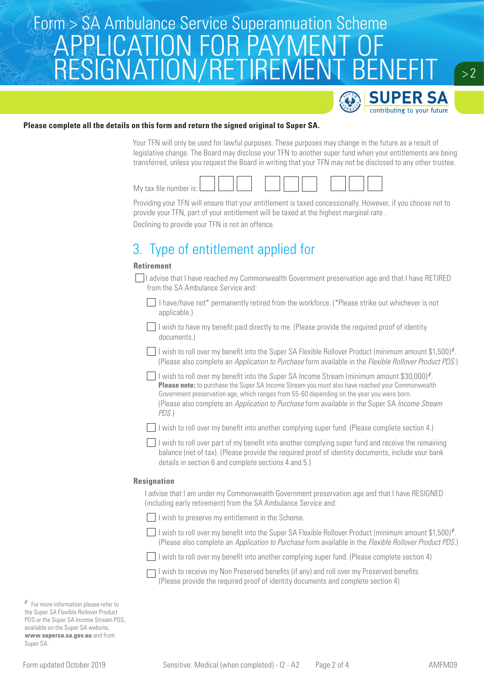## Form > SA Ambulance Service Superannuation Scheme APPLICATION FOR PAYMEN RESIGNATION/RETIREMENT BENEFIT



 $> 2$ 

### **Please complete all the details on this form and return the signed original to Super SA.**

Your TFN will only be used for lawful purposes. These purposes may change in the future as a result of legislative change. The Board may disclose your TFN to another super fund when your entitlements are being transferred, unless you request the Board in writing that your TFN may not be disclosed to any other trustee.



Providing your TFN will ensure that your entitlement is taxed concessionally. However, if you choose not to provide your TFN, part of your entitlement will be taxed at the highest marginal rate .

Declining to provide your TFN is not an offence.

## 3. Type of entitlement applied for

### **Retirement**

- I advise that I have reached my Commonwealth Government preservation age and that I have RETIRED from the SA Ambulance Service and:
	- I have/have not\* permanently retired from the workforce. (\*Please strike out whichever is not applicable.)
	- $\Box$  I wish to have my benefit paid directly to me. (Please provide the required proof of identity documents.)
	- I wish to roll over my benefit into the Super SA Flexible Rollover Product (minimum amount \$1,500)#. (Please also complete an *Application to Purchase* form available in the *Flexible Rollover Product PDS*.)
		- I wish to roll over my benefit into the Super SA Income Stream (minimum amount \$30,000)#. **Please note:** to purchase the Super SA Income Stream you must also have reached your Commonwealth Government preservation age, which ranges from 55-60 depending on the year you were born. (Please also complete an *Application to Purchase* form available in the Super SA *Income Stream PDS*.)
	- I wish to roll over my benefit into another complying super fund. (Please complete section 4.)
	- $\Box$  I wish to roll over part of my benefit into another complying super fund and receive the remaining balance (net of tax). (Please provide the required proof of identity documents, include your bank details in section 6 and complete sections 4 and 5.)

#### **Resignation**

I advise that I am under my Commonwealth Government preservation age and that I have RESIGNED (including early retirement) from the SA Ambulance Service and:

 $\Box$  I wish to preserve my entitlement in the Scheme.

I wish to roll over my benefit into the Super SA Flexible Rollover Product (minimum amount \$1,500)#. (Please also complete an *Application to Purchase* form available in the *Flexible Rollover Product PDS*.)

 $\Box$  I wish to roll over my benefit into another complying super fund. (Please complete section 4)

 $\Box$  I wish to receive my Non Preserved benefits (if any) and roll over my Preserved benefits. (Please provide the required proof of identity documents and complete section 4)

# For more information please refer to the Super SA Flexible Rollover Product PDS or the Super SA Income Stream PDS, available on the Super SA website, **www.supersa.sa.gov.au** and from Super SA.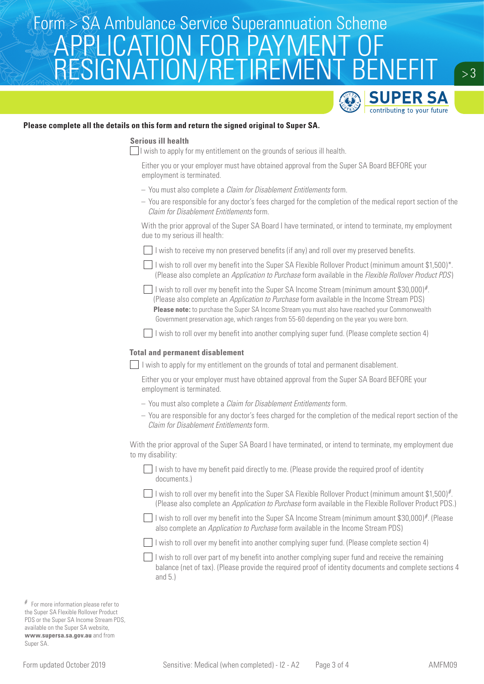# Form > SA Ambulance Service Superannuation Scheme<br>A DDI IO ATIONI EOD DAVN JENIT OE APPLICATION FOR PAYMENT OF RESIGNATION/RETIREMENT BENEFIT



 $> 3$ 

### **Please complete all the details on this form and return the signed original to Super SA.**

### **Serious ill health**

 $\Box$  I wish to apply for my entitlement on the grounds of serious ill health.

Either you or your employer must have obtained approval from the Super SA Board BEFORE your employment is terminated.

- You must also complete a *Claim for Disablement Entitlements* form.
- You are responsible for any doctor's fees charged for the completion of the medical report section of the *Claim for Disablement Entitlements* form.

With the prior approval of the Super SA Board I have terminated, or intend to terminate, my employment due to my serious ill health:

 $\Box$  I wish to receive my non preserved benefits (if any) and roll over my preserved benefits.

I wish to roll over my benefit into the Super SA Flexible Rollover Product (minimum amount \$1,500)\*. (Please also complete an *Application to Purchase* form available in the *Flexible Rollover Product PDS*)

I wish to roll over my benefit into the Super SA Income Stream (minimum amount \$30,000)#. (Please also complete an *Application to Purchase* form available in the Income Stream PDS) **Please note:** to purchase the Super SA Income Stream you must also have reached your Commonwealth Government preservation age, which ranges from 55-60 depending on the year you were born.

 $\Box$  I wish to roll over my benefit into another complying super fund. (Please complete section 4)

### **Total and permanent disablement**

 $\Box$  I wish to apply for my entitlement on the grounds of total and permanent disablement.

Either you or your employer must have obtained approval from the Super SA Board BEFORE your employment is terminated.

- You must also complete a *Claim for Disablement Entitlements* form.
- You are responsible for any doctor's fees charged for the completion of the medical report section of the *Claim for Disablement Entitlements* form.

With the prior approval of the Super SA Board I have terminated, or intend to terminate, my employment due to my disability:

- $\Box$  I wish to have my benefit paid directly to me. (Please provide the required proof of identity documents.)
- I wish to roll over my benefit into the Super SA Flexible Rollover Product (minimum amount \$1.500)#. (Please also complete an *Application to Purchase* form available in the Flexible Rollover Product PDS.)
- I wish to roll over my benefit into the Super SA Income Stream (minimum amount \$30,000)#. (Please also complete an *Application to Purchase* form available in the Income Stream PDS)

I wish to roll over my benefit into another complying super fund. (Please complete section 4)

 $\Box$  I wish to roll over part of my benefit into another complying super fund and receive the remaining balance (net of tax). (Please provide the required proof of identity documents and complete sections 4 and 5.)

# For more information please refer to the Super SA Flexible Rollover Product PDS or the Super SA Income Stream PDS, available on the Super SA website, **www.supersa.sa.gov.au** and from Super SA.